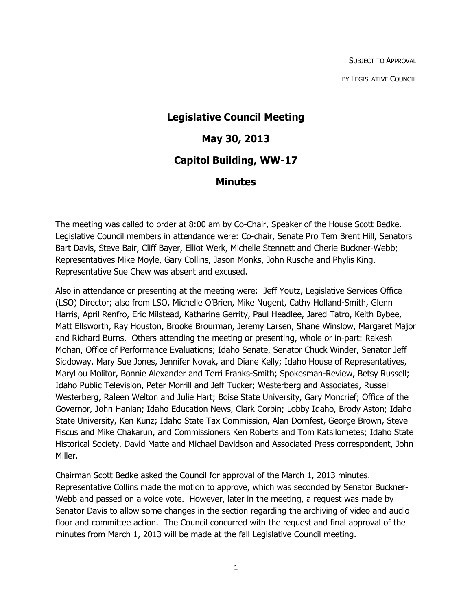SUBJECT TO APPROVAL BY LEGISLATIVE COUNCIL

# **Legislative Council Meeting May 30, 2013 Capitol Building, WW-17 Minutes**

The meeting was called to order at 8:00 am by Co-Chair, Speaker of the House Scott Bedke. Legislative Council members in attendance were: Co-chair, Senate Pro Tem Brent Hill, Senators Bart Davis, Steve Bair, Cliff Bayer, Elliot Werk, Michelle Stennett and Cherie Buckner-Webb; Representatives Mike Moyle, Gary Collins, Jason Monks, John Rusche and Phylis King. Representative Sue Chew was absent and excused.

Also in attendance or presenting at the meeting were: Jeff Youtz, Legislative Services Office (LSO) Director; also from LSO, Michelle O'Brien, Mike Nugent, Cathy Holland-Smith, Glenn Harris, April Renfro, Eric Milstead, Katharine Gerrity, Paul Headlee, Jared Tatro, Keith Bybee, Matt Ellsworth, Ray Houston, Brooke Brourman, Jeremy Larsen, Shane Winslow, Margaret Major and Richard Burns. Others attending the meeting or presenting, whole or in-part: Rakesh Mohan, Office of Performance Evaluations; Idaho Senate, Senator Chuck Winder, Senator Jeff Siddoway, Mary Sue Jones, Jennifer Novak, and Diane Kelly; Idaho House of Representatives, MaryLou Molitor, Bonnie Alexander and Terri Franks-Smith; Spokesman-Review, Betsy Russell; Idaho Public Television, Peter Morrill and Jeff Tucker; Westerberg and Associates, Russell Westerberg, Raleen Welton and Julie Hart; Boise State University, Gary Moncrief; Office of the Governor, John Hanian; Idaho Education News, Clark Corbin; Lobby Idaho, Brody Aston; Idaho State University, Ken Kunz; Idaho State Tax Commission, Alan Dornfest, George Brown, Steve Fiscus and Mike Chakarun, and Commissioners Ken Roberts and Tom Katsilometes; Idaho State Historical Society, David Matte and Michael Davidson and Associated Press correspondent, John Miller.

Chairman Scott Bedke asked the Council for approval of the March 1, 2013 minutes. Representative Collins made the motion to approve, which was seconded by Senator Buckner-Webb and passed on a voice vote. However, later in the meeting, a request was made by Senator Davis to allow some changes in the section regarding the archiving of video and audio floor and committee action. The Council concurred with the request and final approval of the minutes from March 1, 2013 will be made at the fall Legislative Council meeting.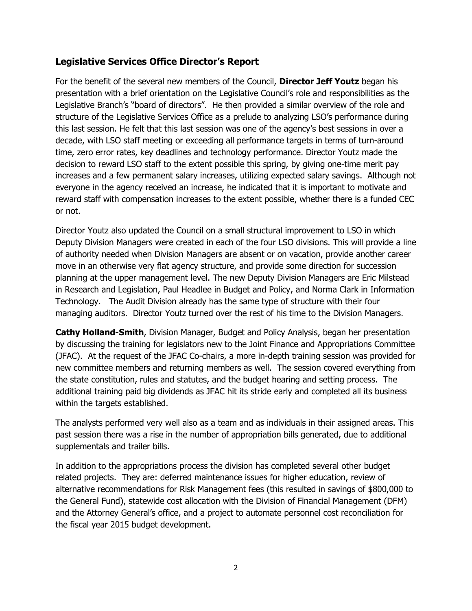#### **Legislative Services Office Director's Report**

For the benefit of the several new members of the Council, **Director Jeff Youtz** began his presentation with a brief orientation on the Legislative Council's role and responsibilities as the Legislative Branch's "board of directors". He then provided a similar overview of the role and structure of the Legislative Services Office as a prelude to analyzing LSO's performance during this last session. He felt that this last session was one of the agency's best sessions in over a decade, with LSO staff meeting or exceeding all performance targets in terms of turn-around time, zero error rates, key deadlines and technology performance. Director Youtz made the decision to reward LSO staff to the extent possible this spring, by giving one-time merit pay increases and a few permanent salary increases, utilizing expected salary savings. Although not everyone in the agency received an increase, he indicated that it is important to motivate and reward staff with compensation increases to the extent possible, whether there is a funded CEC or not.

Director Youtz also updated the Council on a small structural improvement to LSO in which Deputy Division Managers were created in each of the four LSO divisions. This will provide a line of authority needed when Division Managers are absent or on vacation, provide another career move in an otherwise very flat agency structure, and provide some direction for succession planning at the upper management level. The new Deputy Division Managers are Eric Milstead in Research and Legislation, Paul Headlee in Budget and Policy, and Norma Clark in Information Technology. The Audit Division already has the same type of structure with their four managing auditors. Director Youtz turned over the rest of his time to the Division Managers.

**Cathy Holland-Smith**, Division Manager, Budget and Policy Analysis, began her presentation by discussing the training for legislators new to the Joint Finance and Appropriations Committee (JFAC). At the request of the JFAC Co-chairs, a more in-depth training session was provided for new committee members and returning members as well. The session covered everything from the state constitution, rules and statutes, and the budget hearing and setting process. The additional training paid big dividends as JFAC hit its stride early and completed all its business within the targets established.

The analysts performed very well also as a team and as individuals in their assigned areas. This past session there was a rise in the number of appropriation bills generated, due to additional supplementals and trailer bills.

In addition to the appropriations process the division has completed several other budget related projects. They are: deferred maintenance issues for higher education, review of alternative recommendations for Risk Management fees (this resulted in savings of \$800,000 to the General Fund), statewide cost allocation with the Division of Financial Management (DFM) and the Attorney General's office, and a project to automate personnel cost reconciliation for the fiscal year 2015 budget development.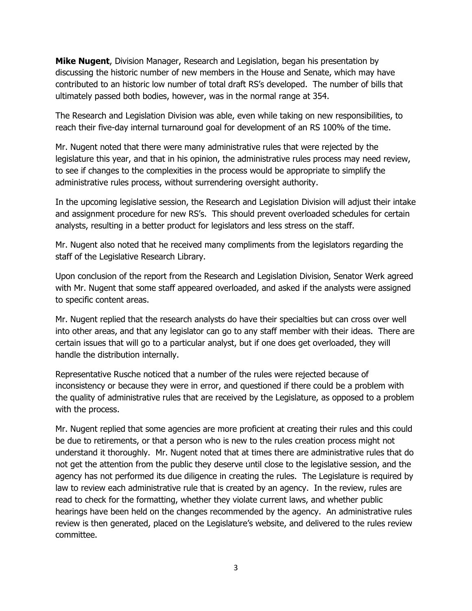**Mike Nugent**, Division Manager, Research and Legislation, began his presentation by discussing the historic number of new members in the House and Senate, which may have contributed to an historic low number of total draft RS's developed. The number of bills that ultimately passed both bodies, however, was in the normal range at 354.

The Research and Legislation Division was able, even while taking on new responsibilities, to reach their five-day internal turnaround goal for development of an RS 100% of the time.

Mr. Nugent noted that there were many administrative rules that were rejected by the legislature this year, and that in his opinion, the administrative rules process may need review, to see if changes to the complexities in the process would be appropriate to simplify the administrative rules process, without surrendering oversight authority.

In the upcoming legislative session, the Research and Legislation Division will adjust their intake and assignment procedure for new RS's. This should prevent overloaded schedules for certain analysts, resulting in a better product for legislators and less stress on the staff.

Mr. Nugent also noted that he received many compliments from the legislators regarding the staff of the Legislative Research Library.

Upon conclusion of the report from the Research and Legislation Division, Senator Werk agreed with Mr. Nugent that some staff appeared overloaded, and asked if the analysts were assigned to specific content areas.

Mr. Nugent replied that the research analysts do have their specialties but can cross over well into other areas, and that any legislator can go to any staff member with their ideas. There are certain issues that will go to a particular analyst, but if one does get overloaded, they will handle the distribution internally.

Representative Rusche noticed that a number of the rules were rejected because of inconsistency or because they were in error, and questioned if there could be a problem with the quality of administrative rules that are received by the Legislature, as opposed to a problem with the process.

Mr. Nugent replied that some agencies are more proficient at creating their rules and this could be due to retirements, or that a person who is new to the rules creation process might not understand it thoroughly. Mr. Nugent noted that at times there are administrative rules that do not get the attention from the public they deserve until close to the legislative session, and the agency has not performed its due diligence in creating the rules. The Legislature is required by law to review each administrative rule that is created by an agency. In the review, rules are read to check for the formatting, whether they violate current laws, and whether public hearings have been held on the changes recommended by the agency. An administrative rules review is then generated, placed on the Legislature's website, and delivered to the rules review committee.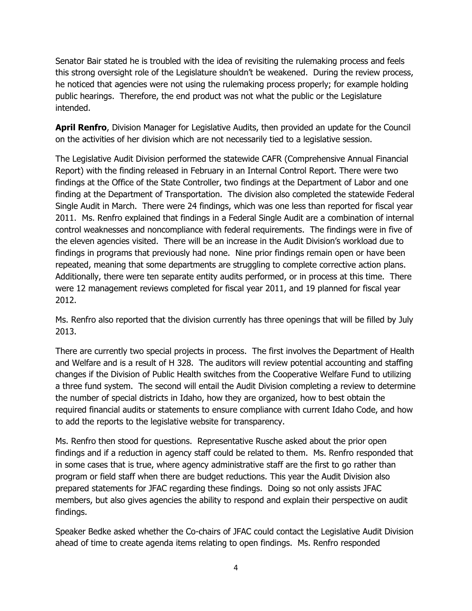Senator Bair stated he is troubled with the idea of revisiting the rulemaking process and feels this strong oversight role of the Legislature shouldn't be weakened. During the review process, he noticed that agencies were not using the rulemaking process properly; for example holding public hearings. Therefore, the end product was not what the public or the Legislature intended.

**April Renfro**, Division Manager for Legislative Audits, then provided an update for the Council on the activities of her division which are not necessarily tied to a legislative session.

The Legislative Audit Division performed the statewide CAFR (Comprehensive Annual Financial Report) with the finding released in February in an Internal Control Report. There were two findings at the Office of the State Controller, two findings at the Department of Labor and one finding at the Department of Transportation. The division also completed the statewide Federal Single Audit in March. There were 24 findings, which was one less than reported for fiscal year 2011. Ms. Renfro explained that findings in a Federal Single Audit are a combination of internal control weaknesses and noncompliance with federal requirements. The findings were in five of the eleven agencies visited. There will be an increase in the Audit Division's workload due to findings in programs that previously had none. Nine prior findings remain open or have been repeated, meaning that some departments are struggling to complete corrective action plans. Additionally, there were ten separate entity audits performed, or in process at this time. There were 12 management reviews completed for fiscal year 2011, and 19 planned for fiscal year 2012.

Ms. Renfro also reported that the division currently has three openings that will be filled by July 2013.

There are currently two special projects in process. The first involves the Department of Health and Welfare and is a result of H 328. The auditors will review potential accounting and staffing changes if the Division of Public Health switches from the Cooperative Welfare Fund to utilizing a three fund system. The second will entail the Audit Division completing a review to determine the number of special districts in Idaho, how they are organized, how to best obtain the required financial audits or statements to ensure compliance with current Idaho Code, and how to add the reports to the legislative website for transparency.

Ms. Renfro then stood for questions. Representative Rusche asked about the prior open findings and if a reduction in agency staff could be related to them. Ms. Renfro responded that in some cases that is true, where agency administrative staff are the first to go rather than program or field staff when there are budget reductions. This year the Audit Division also prepared statements for JFAC regarding these findings. Doing so not only assists JFAC members, but also gives agencies the ability to respond and explain their perspective on audit findings.

Speaker Bedke asked whether the Co-chairs of JFAC could contact the Legislative Audit Division ahead of time to create agenda items relating to open findings. Ms. Renfro responded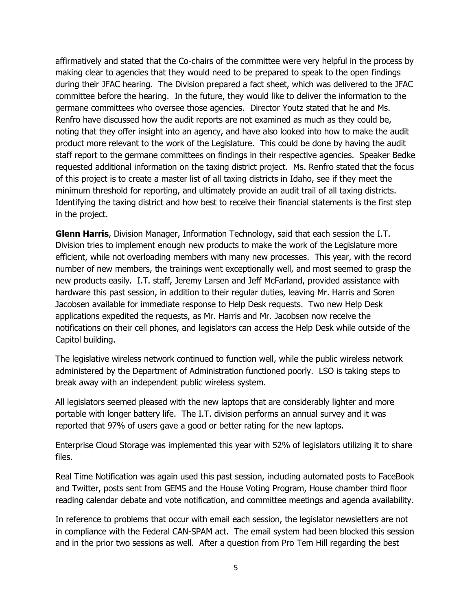affirmatively and stated that the Co-chairs of the committee were very helpful in the process by making clear to agencies that they would need to be prepared to speak to the open findings during their JFAC hearing. The Division prepared a fact sheet, which was delivered to the JFAC committee before the hearing. In the future, they would like to deliver the information to the germane committees who oversee those agencies. Director Youtz stated that he and Ms. Renfro have discussed how the audit reports are not examined as much as they could be, noting that they offer insight into an agency, and have also looked into how to make the audit product more relevant to the work of the Legislature. This could be done by having the audit staff report to the germane committees on findings in their respective agencies. Speaker Bedke requested additional information on the taxing district project. Ms. Renfro stated that the focus of this project is to create a master list of all taxing districts in Idaho, see if they meet the minimum threshold for reporting, and ultimately provide an audit trail of all taxing districts. Identifying the taxing district and how best to receive their financial statements is the first step in the project.

**Glenn Harris**, Division Manager, Information Technology, said that each session the I.T. Division tries to implement enough new products to make the work of the Legislature more efficient, while not overloading members with many new processes. This year, with the record number of new members, the trainings went exceptionally well, and most seemed to grasp the new products easily. I.T. staff, Jeremy Larsen and Jeff McFarland, provided assistance with hardware this past session, in addition to their regular duties, leaving Mr. Harris and Soren Jacobsen available for immediate response to Help Desk requests. Two new Help Desk applications expedited the requests, as Mr. Harris and Mr. Jacobsen now receive the notifications on their cell phones, and legislators can access the Help Desk while outside of the Capitol building.

The legislative wireless network continued to function well, while the public wireless network administered by the Department of Administration functioned poorly. LSO is taking steps to break away with an independent public wireless system.

All legislators seemed pleased with the new laptops that are considerably lighter and more portable with longer battery life. The I.T. division performs an annual survey and it was reported that 97% of users gave a good or better rating for the new laptops.

Enterprise Cloud Storage was implemented this year with 52% of legislators utilizing it to share files.

Real Time Notification was again used this past session, including automated posts to FaceBook and Twitter, posts sent from GEMS and the House Voting Program, House chamber third floor reading calendar debate and vote notification, and committee meetings and agenda availability.

In reference to problems that occur with email each session, the legislator newsletters are not in compliance with the Federal CAN-SPAM act. The email system had been blocked this session and in the prior two sessions as well. After a question from Pro Tem Hill regarding the best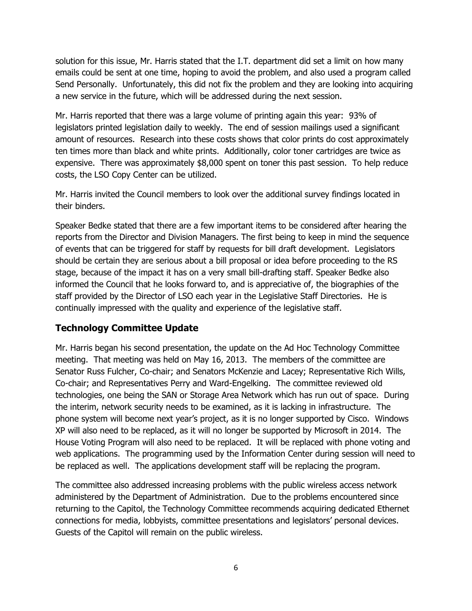solution for this issue, Mr. Harris stated that the I.T. department did set a limit on how many emails could be sent at one time, hoping to avoid the problem, and also used a program called Send Personally. Unfortunately, this did not fix the problem and they are looking into acquiring a new service in the future, which will be addressed during the next session.

Mr. Harris reported that there was a large volume of printing again this year: 93% of legislators printed legislation daily to weekly. The end of session mailings used a significant amount of resources. Research into these costs shows that color prints do cost approximately ten times more than black and white prints. Additionally, color toner cartridges are twice as expensive. There was approximately \$8,000 spent on toner this past session. To help reduce costs, the LSO Copy Center can be utilized.

Mr. Harris invited the Council members to look over the additional survey findings located in their binders.

Speaker Bedke stated that there are a few important items to be considered after hearing the reports from the Director and Division Managers. The first being to keep in mind the sequence of events that can be triggered for staff by requests for bill draft development. Legislators should be certain they are serious about a bill proposal or idea before proceeding to the RS stage, because of the impact it has on a very small bill-drafting staff. Speaker Bedke also informed the Council that he looks forward to, and is appreciative of, the biographies of the staff provided by the Director of LSO each year in the Legislative Staff Directories. He is continually impressed with the quality and experience of the legislative staff.

#### **Technology Committee Update**

Mr. Harris began his second presentation, the update on the Ad Hoc Technology Committee meeting. That meeting was held on May 16, 2013. The members of the committee are Senator Russ Fulcher, Co-chair; and Senators McKenzie and Lacey; Representative Rich Wills, Co-chair; and Representatives Perry and Ward-Engelking. The committee reviewed old technologies, one being the SAN or Storage Area Network which has run out of space. During the interim, network security needs to be examined, as it is lacking in infrastructure. The phone system will become next year's project, as it is no longer supported by Cisco. Windows XP will also need to be replaced, as it will no longer be supported by Microsoft in 2014. The House Voting Program will also need to be replaced. It will be replaced with phone voting and web applications. The programming used by the Information Center during session will need to be replaced as well. The applications development staff will be replacing the program.

The committee also addressed increasing problems with the public wireless access network administered by the Department of Administration. Due to the problems encountered since returning to the Capitol, the Technology Committee recommends acquiring dedicated Ethernet connections for media, lobbyists, committee presentations and legislators' personal devices. Guests of the Capitol will remain on the public wireless.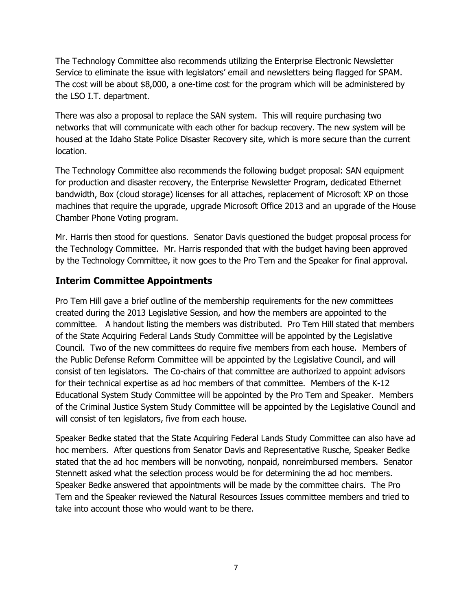The Technology Committee also recommends utilizing the Enterprise Electronic Newsletter Service to eliminate the issue with legislators' email and newsletters being flagged for SPAM. The cost will be about \$8,000, a one-time cost for the program which will be administered by the LSO I.T. department.

There was also a proposal to replace the SAN system. This will require purchasing two networks that will communicate with each other for backup recovery. The new system will be housed at the Idaho State Police Disaster Recovery site, which is more secure than the current location.

The Technology Committee also recommends the following budget proposal: SAN equipment for production and disaster recovery, the Enterprise Newsletter Program, dedicated Ethernet bandwidth, Box (cloud storage) licenses for all attaches, replacement of Microsoft XP on those machines that require the upgrade, upgrade Microsoft Office 2013 and an upgrade of the House Chamber Phone Voting program.

Mr. Harris then stood for questions. Senator Davis questioned the budget proposal process for the Technology Committee. Mr. Harris responded that with the budget having been approved by the Technology Committee, it now goes to the Pro Tem and the Speaker for final approval.

## **Interim Committee Appointments**

Pro Tem Hill gave a brief outline of the membership requirements for the new committees created during the 2013 Legislative Session, and how the members are appointed to the committee. A handout listing the members was distributed. Pro Tem Hill stated that members of the State Acquiring Federal Lands Study Committee will be appointed by the Legislative Council. Two of the new committees do require five members from each house. Members of the Public Defense Reform Committee will be appointed by the Legislative Council, and will consist of ten legislators. The Co-chairs of that committee are authorized to appoint advisors for their technical expertise as ad hoc members of that committee. Members of the K-12 Educational System Study Committee will be appointed by the Pro Tem and Speaker. Members of the Criminal Justice System Study Committee will be appointed by the Legislative Council and will consist of ten legislators, five from each house.

Speaker Bedke stated that the State Acquiring Federal Lands Study Committee can also have ad hoc members. After questions from Senator Davis and Representative Rusche, Speaker Bedke stated that the ad hoc members will be nonvoting, nonpaid, nonreimbursed members. Senator Stennett asked what the selection process would be for determining the ad hoc members. Speaker Bedke answered that appointments will be made by the committee chairs. The Pro Tem and the Speaker reviewed the Natural Resources Issues committee members and tried to take into account those who would want to be there.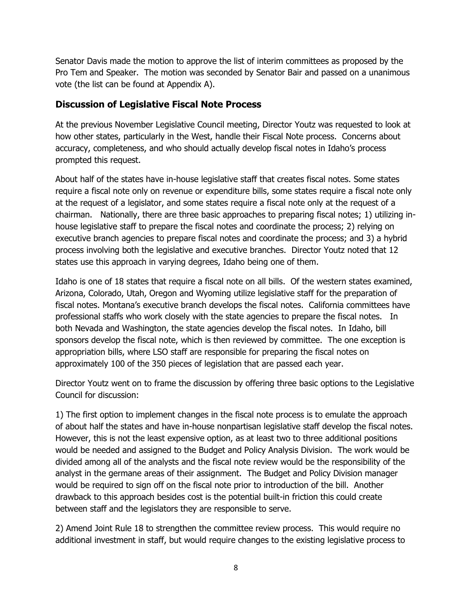Senator Davis made the motion to approve the list of interim committees as proposed by the Pro Tem and Speaker. The motion was seconded by Senator Bair and passed on a unanimous vote (the list can be found at Appendix A).

#### **Discussion of Legislative Fiscal Note Process**

At the previous November Legislative Council meeting, Director Youtz was requested to look at how other states, particularly in the West, handle their Fiscal Note process. Concerns about accuracy, completeness, and who should actually develop fiscal notes in Idaho's process prompted this request.

About half of the states have in-house legislative staff that creates fiscal notes. Some states require a fiscal note only on revenue or expenditure bills, some states require a fiscal note only at the request of a legislator, and some states require a fiscal note only at the request of a chairman. Nationally, there are three basic approaches to preparing fiscal notes; 1) utilizing inhouse legislative staff to prepare the fiscal notes and coordinate the process; 2) relying on executive branch agencies to prepare fiscal notes and coordinate the process; and 3) a hybrid process involving both the legislative and executive branches. Director Youtz noted that 12 states use this approach in varying degrees, Idaho being one of them.

Idaho is one of 18 states that require a fiscal note on all bills. Of the western states examined, Arizona, Colorado, Utah, Oregon and Wyoming utilize legislative staff for the preparation of fiscal notes. Montana's executive branch develops the fiscal notes. California committees have professional staffs who work closely with the state agencies to prepare the fiscal notes. In both Nevada and Washington, the state agencies develop the fiscal notes. In Idaho, bill sponsors develop the fiscal note, which is then reviewed by committee. The one exception is appropriation bills, where LSO staff are responsible for preparing the fiscal notes on approximately 100 of the 350 pieces of legislation that are passed each year.

Director Youtz went on to frame the discussion by offering three basic options to the Legislative Council for discussion:

1) The first option to implement changes in the fiscal note process is to emulate the approach of about half the states and have in-house nonpartisan legislative staff develop the fiscal notes. However, this is not the least expensive option, as at least two to three additional positions would be needed and assigned to the Budget and Policy Analysis Division. The work would be divided among all of the analysts and the fiscal note review would be the responsibility of the analyst in the germane areas of their assignment. The Budget and Policy Division manager would be required to sign off on the fiscal note prior to introduction of the bill. Another drawback to this approach besides cost is the potential built-in friction this could create between staff and the legislators they are responsible to serve.

2) Amend Joint Rule 18 to strengthen the committee review process. This would require no additional investment in staff, but would require changes to the existing legislative process to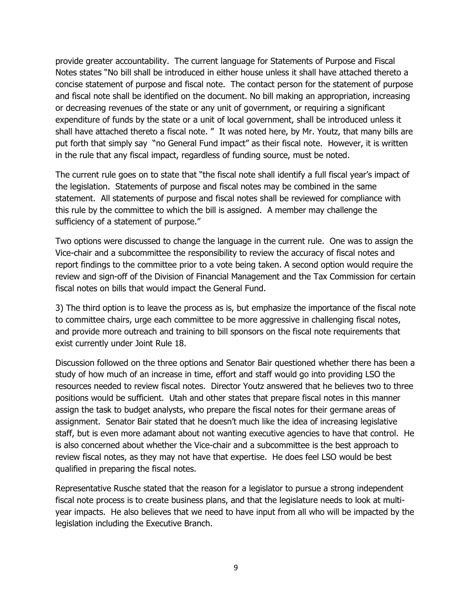provide greater accountability. The current language for Statements of Purpose and Fiscal Notes states "No bill shall be introduced in either house unless it shall have attached thereto a concise statement of purpose and fiscal note. The contact person for the statement of purpose and fiscal note shall be identified on the document. No bill making an appropriation, increasing or decreasing revenues of the state or any unit of government, or requiring a significant expenditure of funds by the state or a unit of local government, shall be introduced unless it shall have attached thereto a fiscal note. " It was noted here, by Mr. Youtz, that many bills are put forth that simply say "no General Fund impact" as their fiscal note. However, it is written in the rule that any fiscal impact, regardless of funding source, must be noted.

The current rule goes on to state that "the fiscal note shall identify a full fiscal year's impact of the legislation. Statements of purpose and fiscal notes may be combined in the same statement. All statements of purpose and fiscal notes shall be reviewed for compliance with this rule by the committee to which the bill is assigned. A member may challenge the sufficiency of a statement of purpose."

Two options were discussed to change the language in the current rule. One was to assign the Vice-chair and a subcommittee the responsibility to review the accuracy of fiscal notes and report findings to the committee prior to a vote being taken. A second option would require the review and sign-off of the Division of Financial Management and the Tax Commission for certain fiscal notes on bills that would impact the General Fund.

3) The third option is to leave the process as is, but emphasize the importance of the fiscal note to committee chairs, urge each committee to be more aggressive in challenging fiscal notes, and provide more outreach and training to bill sponsors on the fiscal note requirements that exist currently under Joint Rule 18.

Discussion followed on the three options and Senator Bair questioned whether there has been a study of how much of an increase in time, effort and staff would go into providing LSO the resources needed to review fiscal notes. Director Youtz answered that he believes two to three positions would be sufficient. Utah and other states that prepare fiscal notes in this manner assign the task to budget analysts, who prepare the fiscal notes for their germane areas of assignment. Senator Bair stated that he doesn't much like the idea of increasing legislative staff, but is even more adamant about not wanting executive agencies to have that control. He is also concerned about whether the Vice-chair and a subcommittee is the best approach to review fiscal notes, as they may not have that expertise. He does feel LSO would be best qualified in preparing the fiscal notes.

Representative Rusche stated that the reason for a legislator to pursue a strong independent fiscal note process is to create business plans, and that the legislature needs to look at multiyear impacts. He also believes that we need to have input from all who will be impacted by the legislation including the Executive Branch.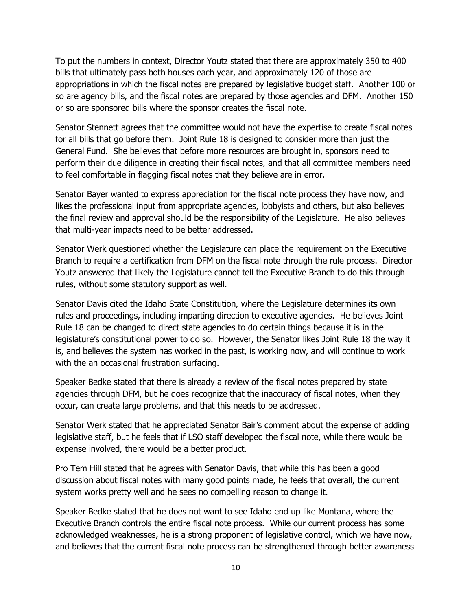To put the numbers in context, Director Youtz stated that there are approximately 350 to 400 bills that ultimately pass both houses each year, and approximately 120 of those are appropriations in which the fiscal notes are prepared by legislative budget staff. Another 100 or so are agency bills, and the fiscal notes are prepared by those agencies and DFM. Another 150 or so are sponsored bills where the sponsor creates the fiscal note.

Senator Stennett agrees that the committee would not have the expertise to create fiscal notes for all bills that go before them. Joint Rule 18 is designed to consider more than just the General Fund. She believes that before more resources are brought in, sponsors need to perform their due diligence in creating their fiscal notes, and that all committee members need to feel comfortable in flagging fiscal notes that they believe are in error.

Senator Bayer wanted to express appreciation for the fiscal note process they have now, and likes the professional input from appropriate agencies, lobbyists and others, but also believes the final review and approval should be the responsibility of the Legislature. He also believes that multi-year impacts need to be better addressed.

Senator Werk questioned whether the Legislature can place the requirement on the Executive Branch to require a certification from DFM on the fiscal note through the rule process. Director Youtz answered that likely the Legislature cannot tell the Executive Branch to do this through rules, without some statutory support as well.

Senator Davis cited the Idaho State Constitution, where the Legislature determines its own rules and proceedings, including imparting direction to executive agencies. He believes Joint Rule 18 can be changed to direct state agencies to do certain things because it is in the legislature's constitutional power to do so. However, the Senator likes Joint Rule 18 the way it is, and believes the system has worked in the past, is working now, and will continue to work with the an occasional frustration surfacing.

Speaker Bedke stated that there is already a review of the fiscal notes prepared by state agencies through DFM, but he does recognize that the inaccuracy of fiscal notes, when they occur, can create large problems, and that this needs to be addressed.

Senator Werk stated that he appreciated Senator Bair's comment about the expense of adding legislative staff, but he feels that if LSO staff developed the fiscal note, while there would be expense involved, there would be a better product.

Pro Tem Hill stated that he agrees with Senator Davis, that while this has been a good discussion about fiscal notes with many good points made, he feels that overall, the current system works pretty well and he sees no compelling reason to change it.

Speaker Bedke stated that he does not want to see Idaho end up like Montana, where the Executive Branch controls the entire fiscal note process. While our current process has some acknowledged weaknesses, he is a strong proponent of legislative control, which we have now, and believes that the current fiscal note process can be strengthened through better awareness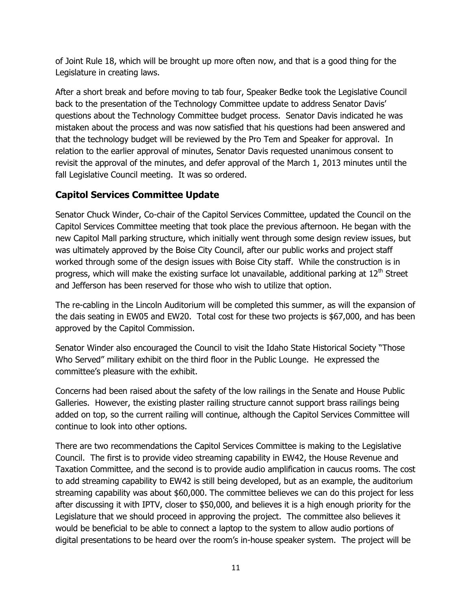of Joint Rule 18, which will be brought up more often now, and that is a good thing for the Legislature in creating laws.

After a short break and before moving to tab four, Speaker Bedke took the Legislative Council back to the presentation of the Technology Committee update to address Senator Davis' questions about the Technology Committee budget process. Senator Davis indicated he was mistaken about the process and was now satisfied that his questions had been answered and that the technology budget will be reviewed by the Pro Tem and Speaker for approval. In relation to the earlier approval of minutes, Senator Davis requested unanimous consent to revisit the approval of the minutes, and defer approval of the March 1, 2013 minutes until the fall Legislative Council meeting. It was so ordered.

## **Capitol Services Committee Update**

Senator Chuck Winder, Co-chair of the Capitol Services Committee, updated the Council on the Capitol Services Committee meeting that took place the previous afternoon. He began with the new Capitol Mall parking structure, which initially went through some design review issues, but was ultimately approved by the Boise City Council, after our public works and project staff worked through some of the design issues with Boise City staff. While the construction is in progress, which will make the existing surface lot unavailable, additional parking at 12<sup>th</sup> Street and Jefferson has been reserved for those who wish to utilize that option.

The re-cabling in the Lincoln Auditorium will be completed this summer, as will the expansion of the dais seating in EW05 and EW20. Total cost for these two projects is \$67,000, and has been approved by the Capitol Commission.

Senator Winder also encouraged the Council to visit the Idaho State Historical Society "Those Who Served" military exhibit on the third floor in the Public Lounge. He expressed the committee's pleasure with the exhibit.

Concerns had been raised about the safety of the low railings in the Senate and House Public Galleries. However, the existing plaster railing structure cannot support brass railings being added on top, so the current railing will continue, although the Capitol Services Committee will continue to look into other options.

There are two recommendations the Capitol Services Committee is making to the Legislative Council. The first is to provide video streaming capability in EW42, the House Revenue and Taxation Committee, and the second is to provide audio amplification in caucus rooms. The cost to add streaming capability to EW42 is still being developed, but as an example, the auditorium streaming capability was about \$60,000. The committee believes we can do this project for less after discussing it with IPTV, closer to \$50,000, and believes it is a high enough priority for the Legislature that we should proceed in approving the project. The committee also believes it would be beneficial to be able to connect a laptop to the system to allow audio portions of digital presentations to be heard over the room's in-house speaker system. The project will be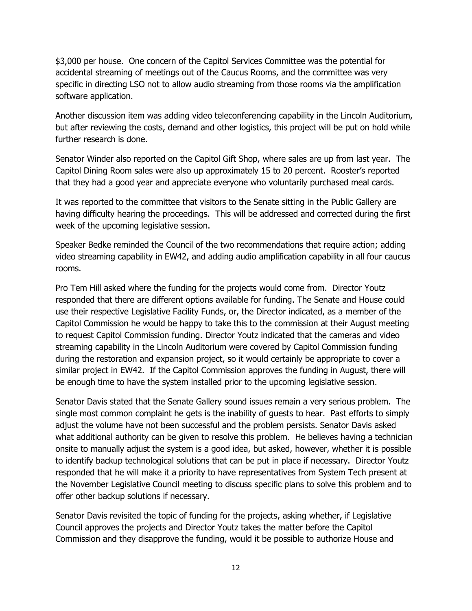\$3,000 per house. One concern of the Capitol Services Committee was the potential for accidental streaming of meetings out of the Caucus Rooms, and the committee was very specific in directing LSO not to allow audio streaming from those rooms via the amplification software application.

Another discussion item was adding video teleconferencing capability in the Lincoln Auditorium, but after reviewing the costs, demand and other logistics, this project will be put on hold while further research is done.

Senator Winder also reported on the Capitol Gift Shop, where sales are up from last year. The Capitol Dining Room sales were also up approximately 15 to 20 percent. Rooster's reported that they had a good year and appreciate everyone who voluntarily purchased meal cards.

It was reported to the committee that visitors to the Senate sitting in the Public Gallery are having difficulty hearing the proceedings. This will be addressed and corrected during the first week of the upcoming legislative session.

Speaker Bedke reminded the Council of the two recommendations that require action; adding video streaming capability in EW42, and adding audio amplification capability in all four caucus rooms.

Pro Tem Hill asked where the funding for the projects would come from. Director Youtz responded that there are different options available for funding. The Senate and House could use their respective Legislative Facility Funds, or, the Director indicated, as a member of the Capitol Commission he would be happy to take this to the commission at their August meeting to request Capitol Commission funding. Director Youtz indicated that the cameras and video streaming capability in the Lincoln Auditorium were covered by Capitol Commission funding during the restoration and expansion project, so it would certainly be appropriate to cover a similar project in EW42. If the Capitol Commission approves the funding in August, there will be enough time to have the system installed prior to the upcoming legislative session.

Senator Davis stated that the Senate Gallery sound issues remain a very serious problem. The single most common complaint he gets is the inability of guests to hear. Past efforts to simply adjust the volume have not been successful and the problem persists. Senator Davis asked what additional authority can be given to resolve this problem. He believes having a technician onsite to manually adjust the system is a good idea, but asked, however, whether it is possible to identify backup technological solutions that can be put in place if necessary. Director Youtz responded that he will make it a priority to have representatives from System Tech present at the November Legislative Council meeting to discuss specific plans to solve this problem and to offer other backup solutions if necessary.

Senator Davis revisited the topic of funding for the projects, asking whether, if Legislative Council approves the projects and Director Youtz takes the matter before the Capitol Commission and they disapprove the funding, would it be possible to authorize House and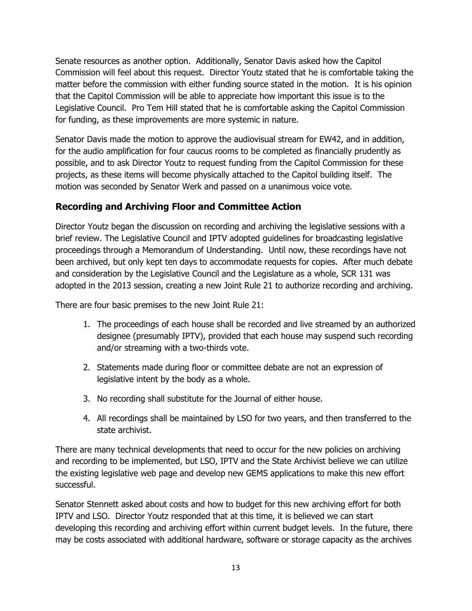Senate resources as another option. Additionally, Senator Davis asked how the Capitol Commission will feel about this request. Director Youtz stated that he is comfortable taking the matter before the commission with either funding source stated in the motion. It is his opinion that the Capitol Commission will be able to appreciate how important this issue is to the Legislative Council. Pro Tem Hill stated that he is comfortable asking the Capitol Commission for funding, as these improvements are more systemic in nature.

Senator Davis made the motion to approve the audiovisual stream for EW42, and in addition, for the audio amplification for four caucus rooms to be completed as financially prudently as possible, and to ask Director Youtz to request funding from the Capitol Commission for these projects, as these items will become physically attached to the Capitol building itself. The motion was seconded by Senator Werk and passed on a unanimous voice vote.

# **Recording and Archiving Floor and Committee Action**

Director Youtz began the discussion on recording and archiving the legislative sessions with a brief review. The Legislative Council and IPTV adopted guidelines for broadcasting legislative proceedings through a Memorandum of Understanding. Until now, these recordings have not been archived, but only kept ten days to accommodate requests for copies. After much debate and consideration by the Legislative Council and the Legislature as a whole, SCR 131 was adopted in the 2013 session, creating a new Joint Rule 21 to authorize recording and archiving.

There are four basic premises to the new Joint Rule 21:

- 1. The proceedings of each house shall be recorded and live streamed by an authorized designee (presumably IPTV), provided that each house may suspend such recording and/or streaming with a two-thirds vote.
- 2. Statements made during floor or committee debate are not an expression of legislative intent by the body as a whole.
- 3. No recording shall substitute for the Journal of either house.
- 4. All recordings shall be maintained by LSO for two years, and then transferred to the state archivist.

There are many technical developments that need to occur for the new policies on archiving and recording to be implemented, but LSO, IPTV and the State Archivist believe we can utilize the existing legislative web page and develop new GEMS applications to make this new effort successful.

Senator Stennett asked about costs and how to budget for this new archiving effort for both IPTV and LSO. Director Youtz responded that at this time, it is believed we can start developing this recording and archiving effort within current budget levels. In the future, there may be costs associated with additional hardware, software or storage capacity as the archives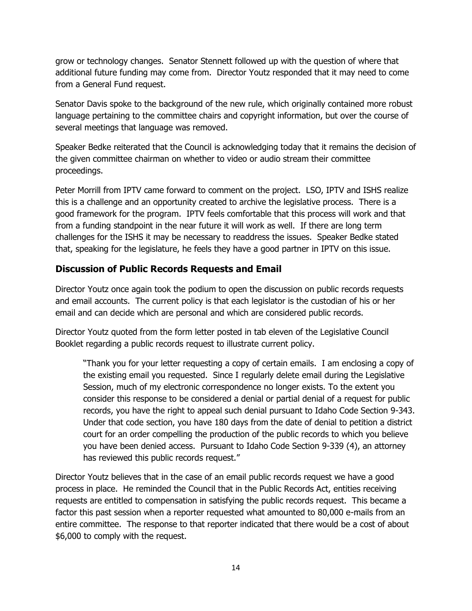grow or technology changes. Senator Stennett followed up with the question of where that additional future funding may come from. Director Youtz responded that it may need to come from a General Fund request.

Senator Davis spoke to the background of the new rule, which originally contained more robust language pertaining to the committee chairs and copyright information, but over the course of several meetings that language was removed.

Speaker Bedke reiterated that the Council is acknowledging today that it remains the decision of the given committee chairman on whether to video or audio stream their committee proceedings.

Peter Morrill from IPTV came forward to comment on the project. LSO, IPTV and ISHS realize this is a challenge and an opportunity created to archive the legislative process. There is a good framework for the program. IPTV feels comfortable that this process will work and that from a funding standpoint in the near future it will work as well. If there are long term challenges for the ISHS it may be necessary to readdress the issues. Speaker Bedke stated that, speaking for the legislature, he feels they have a good partner in IPTV on this issue.

# **Discussion of Public Records Requests and Email**

Director Youtz once again took the podium to open the discussion on public records requests and email accounts. The current policy is that each legislator is the custodian of his or her email and can decide which are personal and which are considered public records.

Director Youtz quoted from the form letter posted in tab eleven of the Legislative Council Booklet regarding a public records request to illustrate current policy.

"Thank you for your letter requesting a copy of certain emails. I am enclosing a copy of the existing email you requested. Since I regularly delete email during the Legislative Session, much of my electronic correspondence no longer exists. To the extent you consider this response to be considered a denial or partial denial of a request for public records, you have the right to appeal such denial pursuant to Idaho Code Section 9-343. Under that code section, you have 180 days from the date of denial to petition a district court for an order compelling the production of the public records to which you believe you have been denied access. Pursuant to Idaho Code Section 9-339 (4), an attorney has reviewed this public records request."

Director Youtz believes that in the case of an email public records request we have a good process in place. He reminded the Council that in the Public Records Act, entities receiving requests are entitled to compensation in satisfying the public records request. This became a factor this past session when a reporter requested what amounted to 80,000 e-mails from an entire committee. The response to that reporter indicated that there would be a cost of about \$6,000 to comply with the request.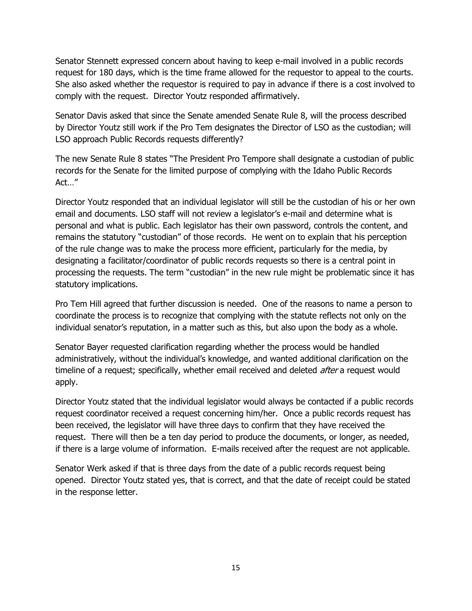Senator Stennett expressed concern about having to keep e-mail involved in a public records request for 180 days, which is the time frame allowed for the requestor to appeal to the courts. She also asked whether the requestor is required to pay in advance if there is a cost involved to comply with the request. Director Youtz responded affirmatively.

Senator Davis asked that since the Senate amended Senate Rule 8, will the process described by Director Youtz still work if the Pro Tem designates the Director of LSO as the custodian; will LSO approach Public Records requests differently?

The new Senate Rule 8 states "The President Pro Tempore shall designate a custodian of public records for the Senate for the limited purpose of complying with the Idaho Public Records Act…"

Director Youtz responded that an individual legislator will still be the custodian of his or her own email and documents. LSO staff will not review a legislator's e-mail and determine what is personal and what is public. Each legislator has their own password, controls the content, and remains the statutory "custodian" of those records. He went on to explain that his perception of the rule change was to make the process more efficient, particularly for the media, by designating a facilitator/coordinator of public records requests so there is a central point in processing the requests. The term "custodian" in the new rule might be problematic since it has statutory implications.

Pro Tem Hill agreed that further discussion is needed. One of the reasons to name a person to coordinate the process is to recognize that complying with the statute reflects not only on the individual senator's reputation, in a matter such as this, but also upon the body as a whole.

Senator Bayer requested clarification regarding whether the process would be handled administratively, without the individual's knowledge, and wanted additional clarification on the timeline of a request; specifically, whether email received and deleted *after* a request would apply.

Director Youtz stated that the individual legislator would always be contacted if a public records request coordinator received a request concerning him/her. Once a public records request has been received, the legislator will have three days to confirm that they have received the request. There will then be a ten day period to produce the documents, or longer, as needed, if there is a large volume of information. E-mails received after the request are not applicable.

Senator Werk asked if that is three days from the date of a public records request being opened. Director Youtz stated yes, that is correct, and that the date of receipt could be stated in the response letter.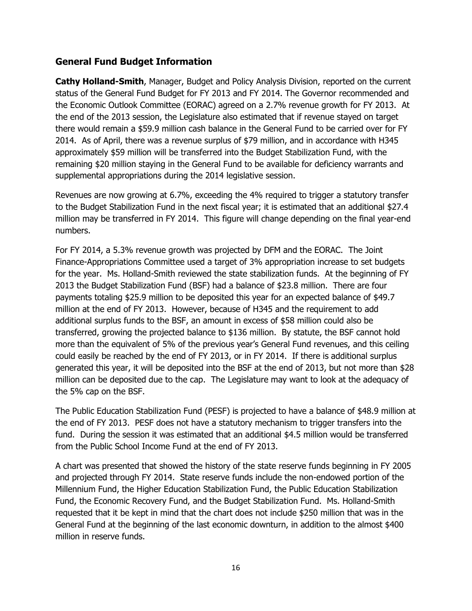#### **General Fund Budget Information**

**Cathy Holland-Smith**, Manager, Budget and Policy Analysis Division, reported on the current status of the General Fund Budget for FY 2013 and FY 2014. The Governor recommended and the Economic Outlook Committee (EORAC) agreed on a 2.7% revenue growth for FY 2013. At the end of the 2013 session, the Legislature also estimated that if revenue stayed on target there would remain a \$59.9 million cash balance in the General Fund to be carried over for FY 2014. As of April, there was a revenue surplus of \$79 million, and in accordance with H345 approximately \$59 million will be transferred into the Budget Stabilization Fund, with the remaining \$20 million staying in the General Fund to be available for deficiency warrants and supplemental appropriations during the 2014 legislative session.

Revenues are now growing at 6.7%, exceeding the 4% required to trigger a statutory transfer to the Budget Stabilization Fund in the next fiscal year; it is estimated that an additional \$27.4 million may be transferred in FY 2014. This figure will change depending on the final year-end numbers.

For FY 2014, a 5.3% revenue growth was projected by DFM and the EORAC. The Joint Finance-Appropriations Committee used a target of 3% appropriation increase to set budgets for the year. Ms. Holland-Smith reviewed the state stabilization funds. At the beginning of FY 2013 the Budget Stabilization Fund (BSF) had a balance of \$23.8 million. There are four payments totaling \$25.9 million to be deposited this year for an expected balance of \$49.7 million at the end of FY 2013. However, because of H345 and the requirement to add additional surplus funds to the BSF, an amount in excess of \$58 million could also be transferred, growing the projected balance to \$136 million. By statute, the BSF cannot hold more than the equivalent of 5% of the previous year's General Fund revenues, and this ceiling could easily be reached by the end of FY 2013, or in FY 2014. If there is additional surplus generated this year, it will be deposited into the BSF at the end of 2013, but not more than \$28 million can be deposited due to the cap. The Legislature may want to look at the adequacy of the 5% cap on the BSF.

The Public Education Stabilization Fund (PESF) is projected to have a balance of \$48.9 million at the end of FY 2013. PESF does not have a statutory mechanism to trigger transfers into the fund. During the session it was estimated that an additional \$4.5 million would be transferred from the Public School Income Fund at the end of FY 2013.

A chart was presented that showed the history of the state reserve funds beginning in FY 2005 and projected through FY 2014. State reserve funds include the non-endowed portion of the Millennium Fund, the Higher Education Stabilization Fund, the Public Education Stabilization Fund, the Economic Recovery Fund, and the Budget Stabilization Fund. Ms. Holland-Smith requested that it be kept in mind that the chart does not include \$250 million that was in the General Fund at the beginning of the last economic downturn, in addition to the almost \$400 million in reserve funds.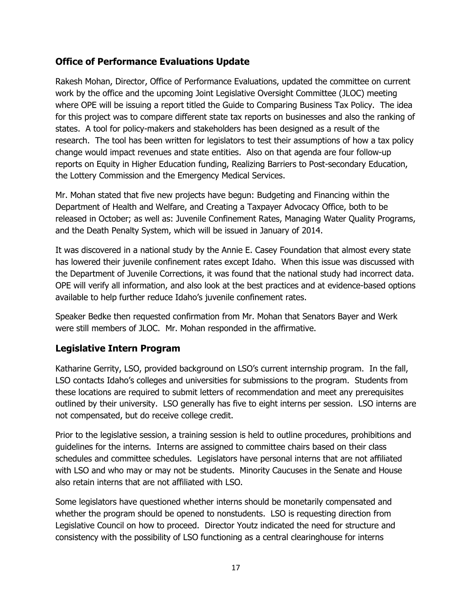## **Office of Performance Evaluations Update**

Rakesh Mohan, Director, Office of Performance Evaluations, updated the committee on current work by the office and the upcoming Joint Legislative Oversight Committee (JLOC) meeting where OPE will be issuing a report titled the Guide to Comparing Business Tax Policy. The idea for this project was to compare different state tax reports on businesses and also the ranking of states. A tool for policy-makers and stakeholders has been designed as a result of the research. The tool has been written for legislators to test their assumptions of how a tax policy change would impact revenues and state entities. Also on that agenda are four follow-up reports on Equity in Higher Education funding, Realizing Barriers to Post-secondary Education, the Lottery Commission and the Emergency Medical Services.

Mr. Mohan stated that five new projects have begun: Budgeting and Financing within the Department of Health and Welfare, and Creating a Taxpayer Advocacy Office, both to be released in October; as well as: Juvenile Confinement Rates, Managing Water Quality Programs, and the Death Penalty System, which will be issued in January of 2014.

It was discovered in a national study by the Annie E. Casey Foundation that almost every state has lowered their juvenile confinement rates except Idaho. When this issue was discussed with the Department of Juvenile Corrections, it was found that the national study had incorrect data. OPE will verify all information, and also look at the best practices and at evidence-based options available to help further reduce Idaho's juvenile confinement rates.

Speaker Bedke then requested confirmation from Mr. Mohan that Senators Bayer and Werk were still members of JLOC. Mr. Mohan responded in the affirmative.

# **Legislative Intern Program**

Katharine Gerrity, LSO, provided background on LSO's current internship program. In the fall, LSO contacts Idaho's colleges and universities for submissions to the program. Students from these locations are required to submit letters of recommendation and meet any prerequisites outlined by their university. LSO generally has five to eight interns per session. LSO interns are not compensated, but do receive college credit.

Prior to the legislative session, a training session is held to outline procedures, prohibitions and guidelines for the interns. Interns are assigned to committee chairs based on their class schedules and committee schedules. Legislators have personal interns that are not affiliated with LSO and who may or may not be students. Minority Caucuses in the Senate and House also retain interns that are not affiliated with LSO.

Some legislators have questioned whether interns should be monetarily compensated and whether the program should be opened to nonstudents. LSO is requesting direction from Legislative Council on how to proceed. Director Youtz indicated the need for structure and consistency with the possibility of LSO functioning as a central clearinghouse for interns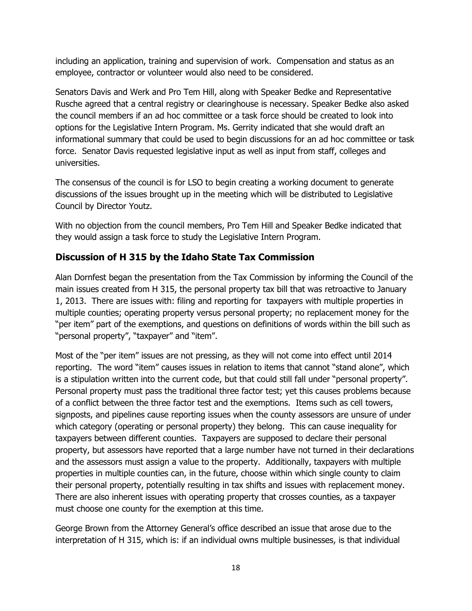including an application, training and supervision of work. Compensation and status as an employee, contractor or volunteer would also need to be considered.

Senators Davis and Werk and Pro Tem Hill, along with Speaker Bedke and Representative Rusche agreed that a central registry or clearinghouse is necessary. Speaker Bedke also asked the council members if an ad hoc committee or a task force should be created to look into options for the Legislative Intern Program. Ms. Gerrity indicated that she would draft an informational summary that could be used to begin discussions for an ad hoc committee or task force. Senator Davis requested legislative input as well as input from staff, colleges and universities.

The consensus of the council is for LSO to begin creating a working document to generate discussions of the issues brought up in the meeting which will be distributed to Legislative Council by Director Youtz.

With no objection from the council members, Pro Tem Hill and Speaker Bedke indicated that they would assign a task force to study the Legislative Intern Program.

# **Discussion of H 315 by the Idaho State Tax Commission**

Alan Dornfest began the presentation from the Tax Commission by informing the Council of the main issues created from H 315, the personal property tax bill that was retroactive to January 1, 2013. There are issues with: filing and reporting for taxpayers with multiple properties in multiple counties; operating property versus personal property; no replacement money for the "per item" part of the exemptions, and questions on definitions of words within the bill such as "personal property", "taxpayer" and "item".

Most of the "per item" issues are not pressing, as they will not come into effect until 2014 reporting. The word "item" causes issues in relation to items that cannot "stand alone", which is a stipulation written into the current code, but that could still fall under "personal property". Personal property must pass the traditional three factor test; yet this causes problems because of a conflict between the three factor test and the exemptions. Items such as cell towers, signposts, and pipelines cause reporting issues when the county assessors are unsure of under which category (operating or personal property) they belong. This can cause inequality for taxpayers between different counties. Taxpayers are supposed to declare their personal property, but assessors have reported that a large number have not turned in their declarations and the assessors must assign a value to the property. Additionally, taxpayers with multiple properties in multiple counties can, in the future, choose within which single county to claim their personal property, potentially resulting in tax shifts and issues with replacement money. There are also inherent issues with operating property that crosses counties, as a taxpayer must choose one county for the exemption at this time.

George Brown from the Attorney General's office described an issue that arose due to the interpretation of H 315, which is: if an individual owns multiple businesses, is that individual